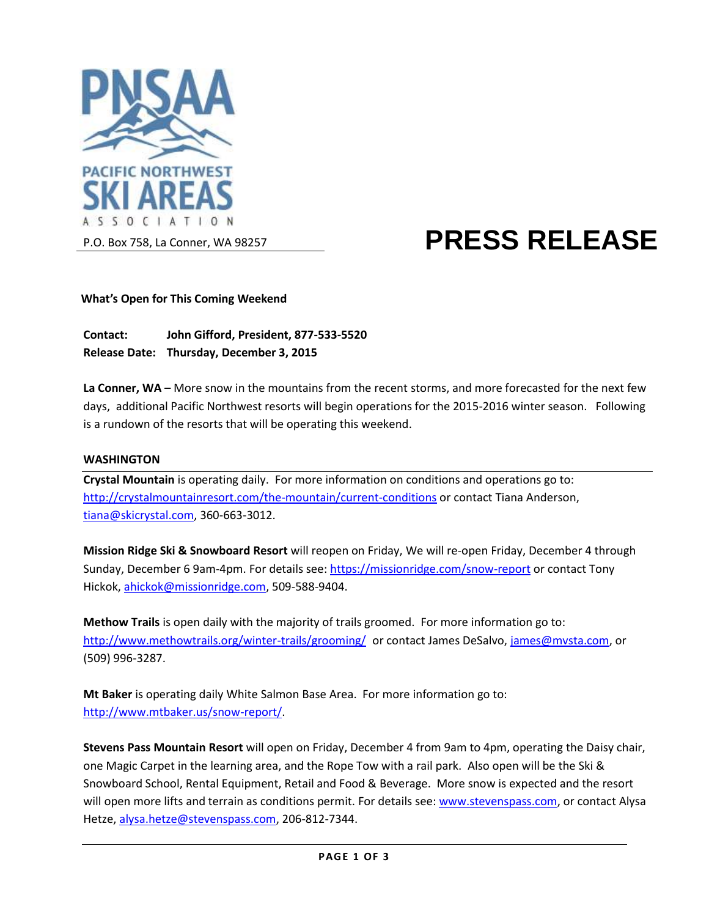

# **PRESS RELEASE**

#### **What's Open for This Coming Weekend**

**Contact: John Gifford, President, 877-533-5520 Release Date: Thursday, December 3, 2015**

**La Conner, WA** – More snow in the mountains from the recent storms, and more forecasted for the next few days, additional Pacific Northwest resorts will begin operations for the 2015-2016 winter season. Following is a rundown of the resorts that will be operating this weekend.

#### **WASHINGTON**

**Crystal Mountain** is operating daily. For more information on conditions and operations go to: <http://crystalmountainresort.com/the-mountain/current-conditions> or contact Tiana Anderson, [tiana@skicrystal.com,](mailto:tiana@skicrystal.com) 360-663-3012.

**Mission Ridge Ski & Snowboard Resort** will reopen on Friday, We will re-open Friday, December 4 through Sunday, December 6 9am-4pm. For details see: <https://missionridge.com/snow-report> or contact Tony Hickok, [ahickok@missionridge.com,](mailto:ahickok@missionridge.com) 509-588-9404.

**Methow Trails** is open daily with the majority of trails groomed. For more information go to: <http://www.methowtrails.org/winter-trails/grooming/> or contact James DeSalvo, [james@mvsta.com,](mailto:james@mvsta.com) or (509) 996-3287.

**Mt Baker** is operating daily White Salmon Base Area. For more information go to: [http://www.mtbaker.us/snow-report/.](http://www.mtbaker.us/snow-report/)

**Stevens Pass Mountain Resort** will open on Friday, December 4 from 9am to 4pm, operating the Daisy chair, one Magic Carpet in the learning area, and the Rope Tow with a rail park. Also open will be the Ski & Snowboard School, Rental Equipment, Retail and Food & Beverage. More snow is expected and the resort will open more lifts and terrain as conditions permit. For details see: [www.stevenspass.com,](http://www.stevenspass.com/) or contact Alysa Hetze, [alysa.hetze@stevenspass.com,](mailto:alysa.hetze@stevenspass.com) 206-812-7344.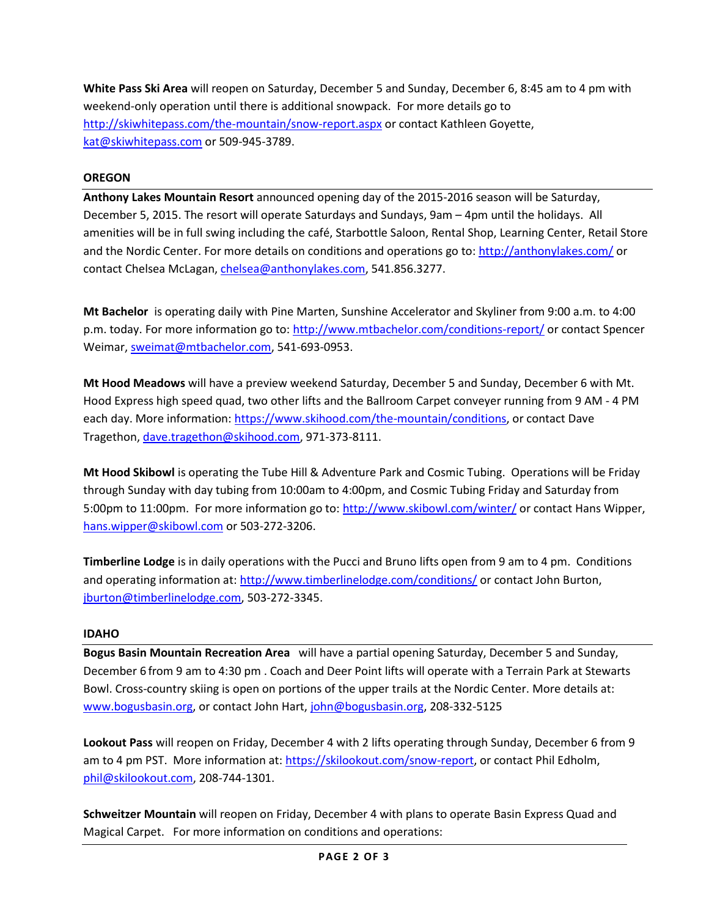**White Pass Ski Area** will reopen on Saturday, December 5 and Sunday, December 6, 8:45 am to 4 pm with weekend-only operation until there is additional snowpack. For more details go to <http://skiwhitepass.com/the-mountain/snow-report.aspx> or contact Kathleen Goyette, [kat@skiwhitepass.com](mailto:kat@skiwhitepass.com) or 509-945-3789.

#### **OREGON**

**Anthony Lakes Mountain Resort** announced opening day of the 2015-2016 season will be Saturday, December 5, 2015. The resort will operate Saturdays and Sundays, 9am – 4pm until the holidays. All amenities will be in full swing including the café, Starbottle Saloon, Rental Shop, Learning Center, Retail Store and the Nordic Center. For more details on conditions and operations go to:<http://anthonylakes.com/> or contact Chelsea McLagan[, chelsea@anthonylakes.com,](mailto:chelsea@anthonylakes.com) 541.856.3277.

**Mt Bachelor** is operating daily with Pine Marten, Sunshine Accelerator and Skyliner from 9:00 a.m. to 4:00 p.m. today. For more information go to:<http://www.mtbachelor.com/conditions-report/> or contact Spencer Weimar, [sweimat@mtbachelor.com,](mailto:sweimat@mtbachelor.com) 541-693-0953.

**Mt Hood Meadows** will have a preview weekend Saturday, December 5 and Sunday, December 6 with Mt. Hood Express high speed quad, two other lifts and the Ballroom Carpet conveyer running from 9 AM - 4 PM each day. More information: [https://www.skihood.com/the-mountain/conditions,](https://www.skihood.com/the-mountain/conditions) or contact Dave Tragethon[, dave.tragethon@skihood.com,](mailto:dave.tragethon@skihood.com) 971-373-8111.

**Mt Hood Skibowl** is operating the Tube Hill & Adventure Park and Cosmic Tubing. Operations will be Friday through Sunday with day tubing from 10:00am to 4:00pm, and Cosmic Tubing Friday and Saturday from 5:00pm to 11:00pm. For more information go to:<http://www.skibowl.com/winter/> or contact Hans Wipper, [hans.wipper@skibowl.com](mailto:hans.wipper@skibowl.com) or 503-272-3206.

**Timberline Lodge** is in daily operations with the Pucci and Bruno lifts open from 9 am to 4 pm. Conditions and operating information at: <http://www.timberlinelodge.com/conditions/> or contact John Burton, [jburton@timberlinelodge.com,](mailto:jburton@timberlinelodge.com) 503-272-3345.

#### **IDAHO**

**Bogus Basin Mountain Recreation Area** will have a partial opening Saturday, December 5 and Sunday, December 6 from 9 am to 4:30 pm . Coach and Deer Point lifts will operate with a Terrain Park at Stewarts Bowl. Cross-country skiing is open on portions of the upper trails at the Nordic Center. More details at: [www.bogusbasin.org,](http://www.bogusbasin.org/) or contact John Hart, [john@bogusbasin.org,](mailto:john@bogusbasin.org) 208-332-5125

**Lookout Pass** will reopen on Friday, December 4 with 2 lifts operating through Sunday, December 6 from 9 am to 4 pm PST. More information at[: https://skilookout.com/snow-report,](https://skilookout.com/snow-report) or contact Phil Edholm, [phil@skilookout.com,](mailto:phil@skilookout.com) 208-744-1301.

**Schweitzer Mountain** will reopen on Friday, December 4 with plans to operate Basin Express Quad and Magical Carpet. For more information on conditions and operations: